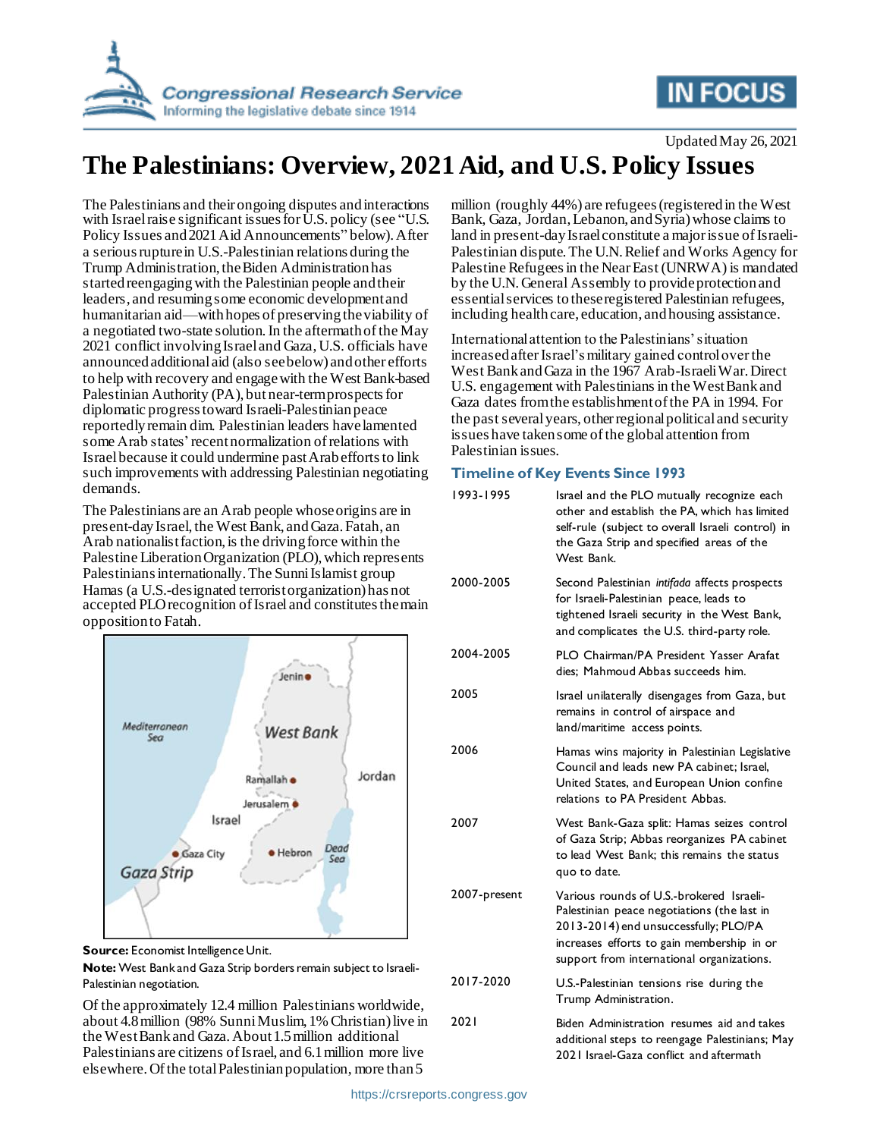

## **IN FOCUS**

Updated May 26, 2021

# **The Palestinians: Overview, 2021 Aid, and U.S. Policy Issues**

The Palestinians and their ongoing disputes and interactions with Israel raise significant issues for U.S. policy (see ["U.S.](#page-1-0)  Policy Issues [and 2021 Aid Announcements](#page-1-0)" below). After a serious rupture in U.S.-Palestinian relations during the Trump Administration, the Biden Administration has started reengaging with the Palestinian people and their leaders, and resuming some economic development and humanitarian aid—with hopes of preserving the viability of a negotiated two-state solution.In the aftermath of the May 2021 conflict involving Israel and Gaza, U.S. officials have announced additional aid (also see below) and other efforts to help with recovery and engagewith the West Bank-based Palestinian Authority (PA), but near-term prospects for diplomatic progress toward Israeli-Palestinian peace reportedly remain dim. Palestinian leaders have lamented some Arab states' recent normalization of relations with Israel because it could undermine past Arab efforts to link such improvements with addressing Palestinian negotiating demands.

The Palestinians are an Arab people whose origins are in present-day Israel, the West Bank, and Gaza. Fatah, an Arab nationalist faction, is the driving force within the Palestine Liberation Organization (PLO), which represents Palestinians internationally. The Sunni Islamist group Hamas (a U.S.-designated terrorist organization) has not accepted PLO recognition of Israel and constitutes the main opposition to Fatah.



**Source:** Economist Intelligence Unit.

**Note:** West Bank and Gaza Strip borders remain subject to Israeli-Palestinian negotiation.

Of the approximately 12.4 million Palestinians worldwide, about 4.8 million (98% Sunni Muslim, 1% Christian) live in the West Bank and Gaza. About 1.5 million additional Palestinians are citizens of Israel, and 6.1 million more live elsewhere. Of the total Palestinian population, more than 5

million (roughly 44%) are refugees (registered in the West Bank, Gaza, Jordan, Lebanon, and Syria) whose claims to land in present-day Israel constitute a major issue of Israeli-Palestinian dispute. The U.N. Relief and Works Agency for Palestine Refugees in the Near East (UNRWA) is mandated by the U.N. General Assembly to provideprotection and essential services to these registered Palestinian refugees, including health care, education, and housing assistance.

International attention to the Palestinians' situation increased after Israel's military gained control over the West Bank and Gaza in the 1967 Arab-Israeli War.Direct U.S. engagement with Palestinians in the West Bank and Gaza dates fromthe establishment of the PA in 1994. For the past several years, other regional political and security issues have taken some of the global attention from Palestinian issues.

### **Timeline of Key Events Since 1993**

| 1993-1995    | Israel and the PLO mutually recognize each<br>other and establish the PA, which has limited<br>self-rule (subject to overall Israeli control) in<br>the Gaza Strip and specified areas of the<br>West Bank.                 |
|--------------|-----------------------------------------------------------------------------------------------------------------------------------------------------------------------------------------------------------------------------|
| 2000-2005    | Second Palestinian intifada affects prospects<br>for Israeli-Palestinian peace, leads to<br>tightened Israeli security in the West Bank,<br>and complicates the U.S. third-party role.                                      |
| 2004-2005    | PLO Chairman/PA President Yasser Arafat<br>dies: Mahmoud Abbas succeeds him.                                                                                                                                                |
| 2005         | Israel unilaterally disengages from Gaza, but<br>remains in control of airspace and<br>land/maritime access points.                                                                                                         |
| 2006         | Hamas wins majority in Palestinian Legislative<br>Council and leads new PA cabinet; Israel,<br>United States, and European Union confine<br>relations to PA President Abbas.                                                |
| 2007         | West Bank-Gaza split: Hamas seizes control<br>of Gaza Strip; Abbas reorganizes PA cabinet<br>to lead West Bank; this remains the status<br>quo to date.                                                                     |
| 2007-present | Various rounds of U.S.-brokered Israeli-<br>Palestinian peace negotiations (the last in<br>2013-2014) end unsuccessfully; PLO/PA<br>increases efforts to gain membership in or<br>support from international organizations. |
| 2017-2020    | U.S.-Palestinian tensions rise during the<br>Trump Administration.                                                                                                                                                          |
| 2021         | Biden Administration resumes aid and takes<br>additional steps to reengage Palestinians; May<br>2021 Israel-Gaza conflict and aftermath                                                                                     |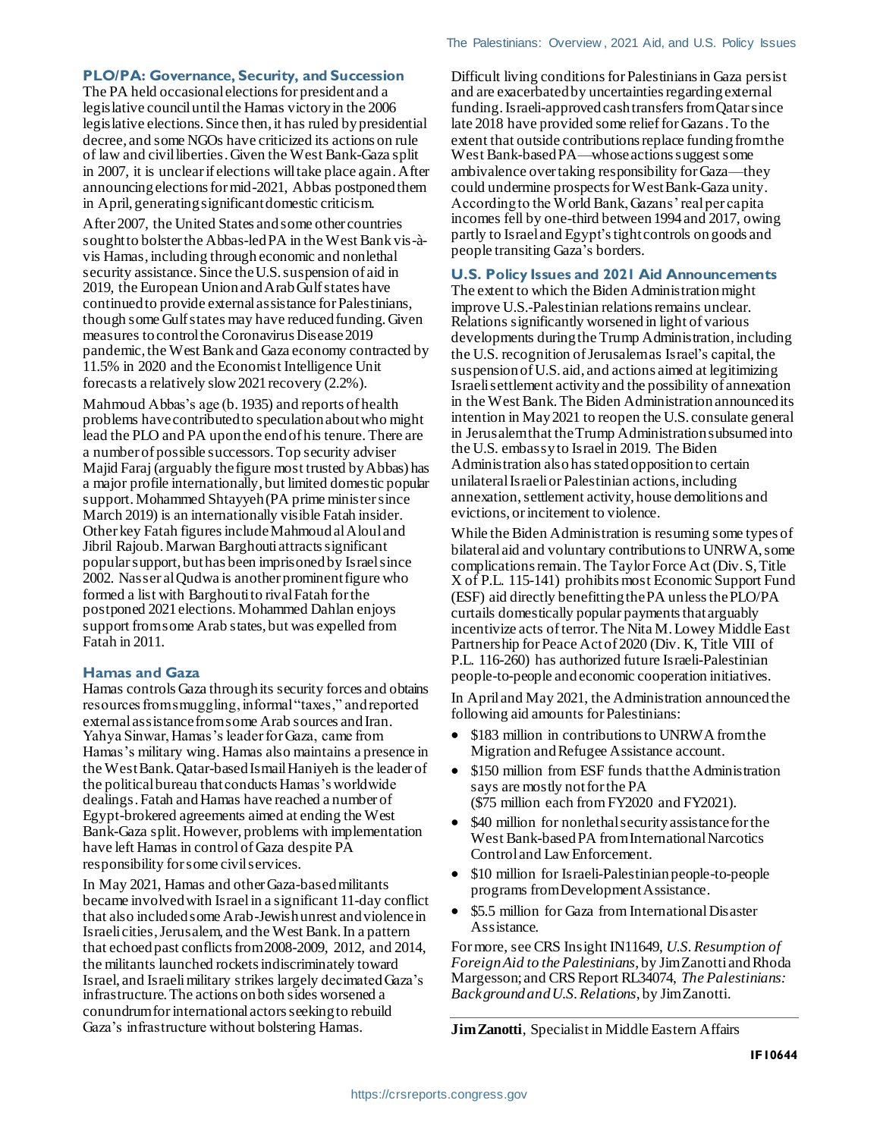#### **PLO/PA: Governance, Security, and Succession**

The PA held occasional elections for president and a legislative council until the Hamas victory in the 2006 legislative elections. Since then, it has ruled by presidential decree, and some NGOs have criticized its actions on rule of law and civil liberties. Given the West Bank-Gaza split in 2007, it is unclear if elections will take place again. After announcing elections for mid-2021, Abbas postponed them in April, generating significant domestic criticism.

After 2007, the United States and some other countries sought to bolster the Abbas-led PA in the West Bank vis-àvis Hamas, including through economic and nonlethal security assistance. Since theU.S. suspension of aid in 2019, the European Union and Arab Gulf states have continued to provide external assistance for Palestinians, though some Gulf states may have reduced funding.Given measures to control the Coronavirus Disease 2019 pandemic, the West Bank and Gaza economy contracted by 11.5% in 2020 and the Economist Intelligence Unit forecasts a relatively slow 2021 recovery (2.2%).

Mahmoud Abbas's age (b. 1935) and reports of health problems havecontributed to speculation about who might lead the PLO and PA upon the end of his tenure. There are a number of possible successors. Top security adviser Majid Faraj (arguably the figure most trusted by Abbas) has a major profile internationally, but limited domestic popular support. Mohammed Shtayyeh (PA prime minister since March 2019) is an internationally visible Fatah insider. Other key Fatah figures include Mahmoud al Aloul and Jibril Rajoub. Marwan Barghouti attracts significant popularsupport, but has been imprisoned by Israelsince 2002. Nasser al Qudwa is another prominent figure who formed a list with Barghouti to rival Fatah for the postponed 2021 elections. Mohammed Dahlan enjoys support fromsome Arab states, but was expelled from Fatah in 2011.

#### **Hamas and Gaza**

Hamas controls Gaza through its security forces and obtains resources from smuggling, informal "taxes," and reported external assistance from some Arab sources and Iran. Yahya Sinwar, Hamas's leader for Gaza, came from Hamas's military wing. Hamas also maintains a presence in the West Bank.Qatar-based Ismail Haniyeh is the leader of the political bureau that conducts Hamas's worldwide dealings. Fatah and Hamas have reached a number of Egypt-brokered agreements aimed at ending the West Bank-Gaza split. However, problems with implementation have left Hamas in control of Gaza despite PA responsibility for some civil services.

In May 2021, Hamas and other Gaza-based militants became involved with Israel in a significant 11-day conflict that also included some Arab-Jewish unrest and violence in Israeli cities, Jerusalem, and the West Bank. In a pattern that echoed past conflicts from 2008-2009, 2012, and 2014, the militants launched rockets indiscriminately toward Israel, and Israelimilitary strikes largely decimated Gaza's infrastructure. The actions on both sides worsened a conundrum for international actors seeking to rebuild Gaza's infrastructure without bolstering Hamas.

Difficult living conditionsfor Palestinians in Gaza persist and are exacerbated by uncertainties regarding external funding. Israeli-approved cash transfers from Qatar since late 2018 have provided some relief for Gazans. To the extent that outside contributions replace funding from the West Bank-based PA—whose actions suggest some ambivalence over taking responsibility for Gaza—they could undermine prospects for West Bank-Gaza unity. According to the World Bank, Gazans' real per capita incomes fell by one-third between 1994 and 2017, owing partly to Israel and Egypt'stight controls on goods and people transiting Gaza's borders.

#### <span id="page-1-0"></span>**U.S. Policy Issues and 2021 Aid Announcements**

The extent to which the Biden Administration might improve U.S.-Palestinian relations remains unclear. Relations significantly worsened in light of various developments during the Trump Administration, including the U.S. recognition of Jerusalem as Israel's capital, the suspension of U.S. aid, and actions aimed at legitimizing Israeli settlement activity and the possibility of annexation in the West Bank.The Biden Administration announced its intention in May 2021 to reopen the U.S. consulate general in Jerusalem that the Trump Administration subsumed into the U.S. embassy to Israel in 2019. The Biden Administration also has stated opposition to certain unilateral Israeli or Palestinian actions, including annexation, settlement activity, house demolitions and evictions, or incitement to violence.

While the Biden Administration is resuming some types of bilateral aid and voluntary contributions to UNRWA, some complications remain. The Taylor Force Act (Div. S, Title X of P.L. 115-141) prohibits most Economic Support Fund (ESF) aid directly benefitting the PA unless the PLO/PA curtails domestically popular payments that arguably incentivize acts of terror. The Nita M. Lowey Middle East Partnership for Peace Act of 2020 (Div. K, Title VIII of P.L. 116-260) has authorized future Israeli-Palestinian people-to-people andeconomic cooperation initiatives.

In April and May 2021, the Administration announced the following aid amounts for Palestinians:

- \$183 million in contributions to UNRWA from the Migration and Refugee Assistance account.
- \$150 million from ESF funds that the Administration says are mostly not for the PA (\$75 million each from FY2020 and FY2021).
- \$40 million for nonlethal security assistance for the West Bank-based PA fromInternational Narcotics Control and Law Enforcement.
- \$10 million for Israeli-Palestinian people-to-people programs from Development Assistance.
- \$5.5 million for Gaza from International Disaster Assistance.

For more, see CRS Insight IN11649, *U.S. Resumption of Foreign Aid to the Palestinians*, by Jim Zanotti and Rhoda Margesson; and CRS Report RL34074, *The Palestinians: Background and U.S. Relations*, by Jim Zanotti.

**Jim Zanotti**, Specialist in Middle Eastern Affairs